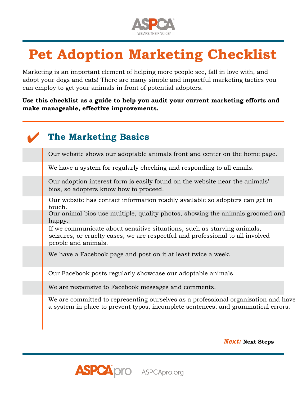

## **Pet Adoption Marketing Checklist**

Marketing is an important element of helping more people see, fall in love with, and adopt your dogs and cats! There are many simple and impactful marketing tactics you can employ to get your animals in front of potential adopters.

**Use this checklist as a guide to help you audit your current marketing efforts and make manageable, effective improvements.**

| <b>The Marketing Basics</b>                                                                                                                                                      |
|----------------------------------------------------------------------------------------------------------------------------------------------------------------------------------|
| Our website shows our adoptable animals front and center on the home page.                                                                                                       |
| We have a system for regularly checking and responding to all emails.                                                                                                            |
| Our adoption interest form is easily found on the website near the animals'<br>bios, so adopters know how to proceed.                                                            |
| Our website has contact information readily available so adopters can get in<br>touch.                                                                                           |
| Our animal bios use multiple, quality photos, showing the animals groomed and<br>happy.                                                                                          |
| If we communicate about sensitive situations, such as starving animals,<br>seizures, or cruelty cases, we are respectful and professional to all involved<br>people and animals. |
| We have a Facebook page and post on it at least twice a week.                                                                                                                    |
| Our Facebook posts regularly showcase our adoptable animals.                                                                                                                     |
| We are responsive to Facebook messages and comments.                                                                                                                             |
| We are committed to representing ourselves as a professional organization and have<br>a system in place to prevent typos, incomplete sentences, and grammatical errors.          |

*Next:* **Next Steps**